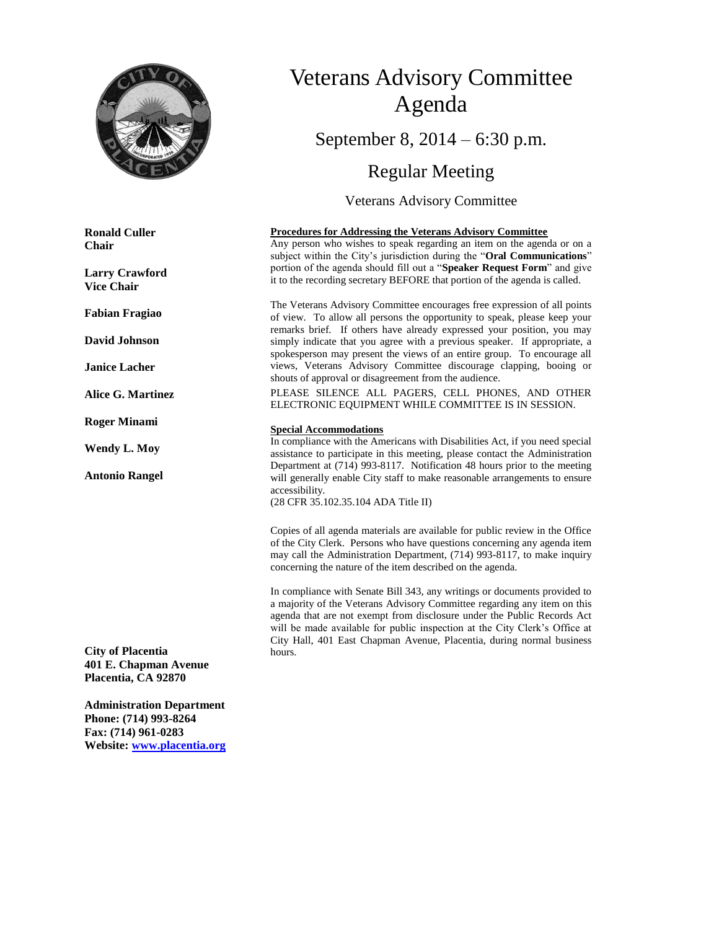

**Ronald Culler Chair**

**Larry Crawford Vice Chair**

**Fabian Fragiao**

**David Johnson**

**Janice Lacher**

**Alice G. Martinez**

**Roger Minami**

**Wendy L. Moy**

**Antonio Rangel**

**City of Placentia 401 E. Chapman Avenue Placentia, CA 92870**

**Administration Department Phone: (714) 993-8264 Fax: (714) 961-0283 Website: [www.placentia.org](http://www.placentia.org/)**

# Veterans Advisory Committee Agenda September 8, 2014 – 6:30 p.m.

Regular Meeting

Veterans Advisory Committee

#### **Procedures for Addressing the Veterans Advisory Committee**

Any person who wishes to speak regarding an item on the agenda or on a subject within the City's jurisdiction during the "**Oral Communications**" portion of the agenda should fill out a "**Speaker Request Form**" and give it to the recording secretary BEFORE that portion of the agenda is called.

The Veterans Advisory Committee encourages free expression of all points of view. To allow all persons the opportunity to speak, please keep your remarks brief. If others have already expressed your position, you may simply indicate that you agree with a previous speaker. If appropriate, a spokesperson may present the views of an entire group. To encourage all views, Veterans Advisory Committee discourage clapping, booing or shouts of approval or disagreement from the audience.

PLEASE SILENCE ALL PAGERS, CELL PHONES, AND OTHER ELECTRONIC EQUIPMENT WHILE COMMITTEE IS IN SESSION.

#### **Special Accommodations**

In compliance with the Americans with Disabilities Act, if you need special assistance to participate in this meeting, please contact the Administration Department at (714) 993-8117. Notification 48 hours prior to the meeting will generally enable City staff to make reasonable arrangements to ensure accessibility.

(28 CFR 35.102.35.104 ADA Title II)

Copies of all agenda materials are available for public review in the Office of the City Clerk. Persons who have questions concerning any agenda item may call the Administration Department, (714) 993-8117, to make inquiry concerning the nature of the item described on the agenda.

In compliance with Senate Bill 343, any writings or documents provided to a majority of the Veterans Advisory Committee regarding any item on this agenda that are not exempt from disclosure under the Public Records Act will be made available for public inspection at the City Clerk's Office at City Hall, 401 East Chapman Avenue, Placentia, during normal business hours.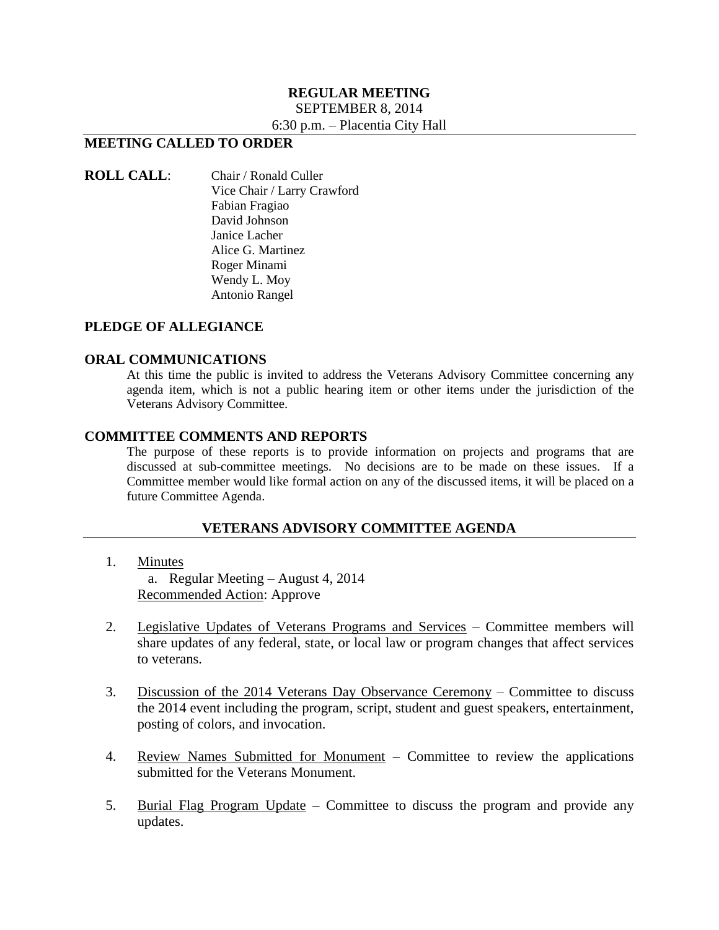#### **REGULAR MEETING** SEPTEMBER 8, 2014

6:30 p.m. – Placentia City Hall

# **MEETING CALLED TO ORDER**

#### **ROLL CALL**: Chair / Ronald Culler Vice Chair / Larry Crawford Fabian Fragiao David Johnson Janice Lacher Alice G. Martinez Roger Minami Wendy L. Moy Antonio Rangel

## **PLEDGE OF ALLEGIANCE**

#### **ORAL COMMUNICATIONS**

At this time the public is invited to address the Veterans Advisory Committee concerning any agenda item, which is not a public hearing item or other items under the jurisdiction of the Veterans Advisory Committee.

#### **COMMITTEE COMMENTS AND REPORTS**

The purpose of these reports is to provide information on projects and programs that are discussed at sub-committee meetings. No decisions are to be made on these issues. If a Committee member would like formal action on any of the discussed items, it will be placed on a future Committee Agenda.

## **VETERANS ADVISORY COMMITTEE AGENDA**

- 1. Minutes a. Regular Meeting – August 4, 2014 Recommended Action: Approve
- 2. Legislative Updates of Veterans Programs and Services Committee members will share updates of any federal, state, or local law or program changes that affect services to veterans.
- 3. Discussion of the 2014 Veterans Day Observance Ceremony Committee to discuss the 2014 event including the program, script, student and guest speakers, entertainment, posting of colors, and invocation.
- 4. Review Names Submitted for Monument Committee to review the applications submitted for the Veterans Monument.
- 5. Burial Flag Program Update Committee to discuss the program and provide any updates.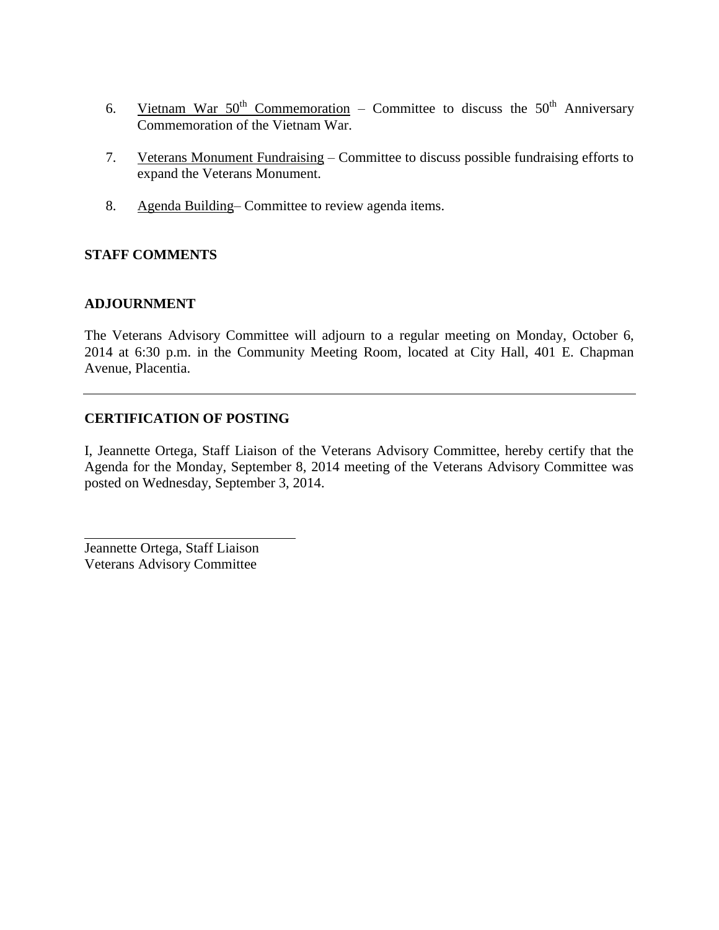- 6. Vietnam War  $50^{th}$  Commemoration Committee to discuss the  $50^{th}$  Anniversary Commemoration of the Vietnam War.
- 7. Veterans Monument Fundraising Committee to discuss possible fundraising efforts to expand the Veterans Monument.
- 8. Agenda Building– Committee to review agenda items.

# **STAFF COMMENTS**

# **ADJOURNMENT**

The Veterans Advisory Committee will adjourn to a regular meeting on Monday, October 6, 2014 at 6:30 p.m. in the Community Meeting Room, located at City Hall, 401 E. Chapman Avenue, Placentia.

# **CERTIFICATION OF POSTING**

I, Jeannette Ortega, Staff Liaison of the Veterans Advisory Committee, hereby certify that the Agenda for the Monday, September 8, 2014 meeting of the Veterans Advisory Committee was posted on Wednesday, September 3, 2014.

Jeannette Ortega, Staff Liaison Veterans Advisory Committee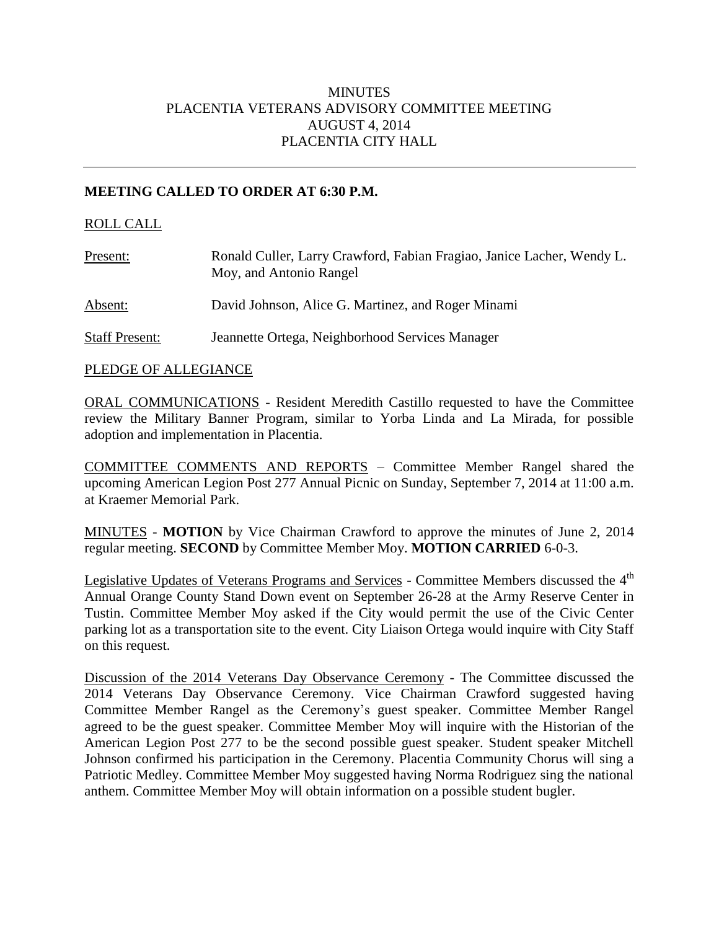# **MINUTES** PLACENTIA VETERANS ADVISORY COMMITTEE MEETING AUGUST 4, 2014 PLACENTIA CITY HALL

# **MEETING CALLED TO ORDER AT 6:30 P.M.**

## ROLL CALL

| Present:              | Ronald Culler, Larry Crawford, Fabian Fragiao, Janice Lacher, Wendy L.<br>Moy, and Antonio Rangel |
|-----------------------|---------------------------------------------------------------------------------------------------|
| Absent:               | David Johnson, Alice G. Martinez, and Roger Minami                                                |
| <b>Staff Present:</b> | Jeannette Ortega, Neighborhood Services Manager                                                   |

#### PLEDGE OF ALLEGIANCE

ORAL COMMUNICATIONS - Resident Meredith Castillo requested to have the Committee review the Military Banner Program, similar to Yorba Linda and La Mirada, for possible adoption and implementation in Placentia.

COMMITTEE COMMENTS AND REPORTS – Committee Member Rangel shared the upcoming American Legion Post 277 Annual Picnic on Sunday, September 7, 2014 at 11:00 a.m. at Kraemer Memorial Park.

MINUTES - **MOTION** by Vice Chairman Crawford to approve the minutes of June 2, 2014 regular meeting. **SECOND** by Committee Member Moy. **MOTION CARRIED** 6-0-3.

Legislative Updates of Veterans Programs and Services - Committee Members discussed the 4<sup>th</sup> Annual Orange County Stand Down event on September 26-28 at the Army Reserve Center in Tustin. Committee Member Moy asked if the City would permit the use of the Civic Center parking lot as a transportation site to the event. City Liaison Ortega would inquire with City Staff on this request.

Discussion of the 2014 Veterans Day Observance Ceremony - The Committee discussed the 2014 Veterans Day Observance Ceremony. Vice Chairman Crawford suggested having Committee Member Rangel as the Ceremony's guest speaker. Committee Member Rangel agreed to be the guest speaker. Committee Member Moy will inquire with the Historian of the American Legion Post 277 to be the second possible guest speaker. Student speaker Mitchell Johnson confirmed his participation in the Ceremony. Placentia Community Chorus will sing a Patriotic Medley. Committee Member Moy suggested having Norma Rodriguez sing the national anthem. Committee Member Moy will obtain information on a possible student bugler.